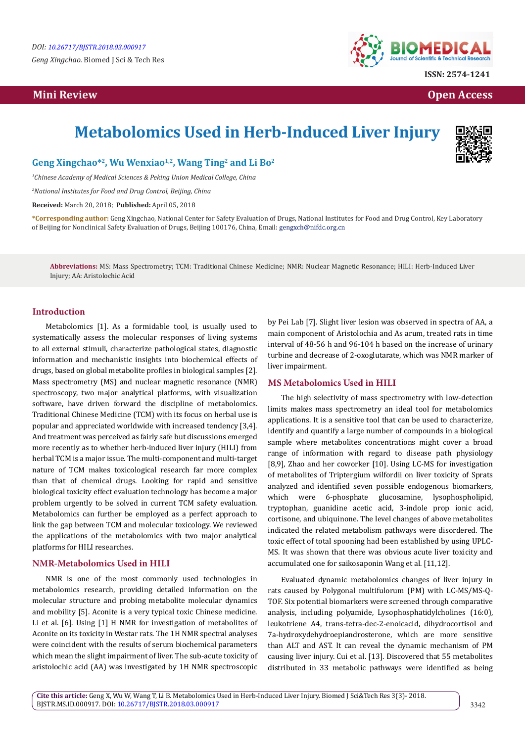# **Mini Review Open Access**



**ISSN: 2574-1241**

# **Metabolomics Used in Herb-Induced Liver Injury**



# **Geng Xingchao\*2, Wu Wenxiao1,2, Wang Ting2 and Li Bo2**

*1 Chinese Academy of Medical Sciences & Peking Union Medical College, China*

*2 National Institutes for Food and Drug Control, Beijing, China*

**Received:** March 20, 2018; **Published:** April 05, 2018

**\*Corresponding author:** Geng Xingchao, National Center for Safety Evaluation of Drugs, National Institutes for Food and Drug Control, Key Laboratory of Beijing for Nonclinical Safety Evaluation of Drugs, Beijing 100176, China, Email:

**Abbreviations:** MS: Mass Spectrometry; TCM: Traditional Chinese Medicine; NMR: Nuclear Magnetic Resonance; HILI: Herb-Induced Liver Injury; AA: Aristolochic Acid

# **Introduction**

Metabolomics [1]. As a formidable tool, is usually used to systematically assess the molecular responses of living systems to all external stimuli, characterize pathological states, diagnostic information and mechanistic insights into biochemical effects of drugs, based on global metabolite profiles in biological samples [2]. Mass spectrometry (MS) and nuclear magnetic resonance (NMR) spectroscopy, two major analytical platforms, with visualization software, have driven forward the discipline of metabolomics. Traditional Chinese Medicine (TCM) with its focus on herbal use is popular and appreciated worldwide with increased tendency [3,4]. And treatment was perceived as fairly safe but discussions emerged more recently as to whether herb-induced liver injury (HILI) from herbal TCM is a major issue. The multi-component and multi-target nature of TCM makes toxicological research far more complex than that of chemical drugs. Looking for rapid and sensitive biological toxicity effect evaluation technology has become a major problem urgently to be solved in current TCM safety evaluation. Metabolomics can further be employed as a perfect approach to link the gap between TCM and molecular toxicology. We reviewed the applications of the metabolomics with two major analytical platforms for HILI researches.

# **NMR-Metabolomics Used in HILI**

NMR is one of the most commonly used technologies in metabolomics research, providing detailed information on the molecular structure and probing metabolite molecular dynamics and mobility [5]. Aconite is a very typical toxic Chinese medicine. Li et al. [6]. Using [1] H NMR for investigation of metabolites of Aconite on its toxicity in Westar rats. The 1H NMR spectral analyses were coincident with the results of serum biochemical parameters which mean the slight impairment of liver. The sub-acute toxicity of aristolochic acid (AA) was investigated by 1H NMR spectroscopic

by Pei Lab [7]. Slight liver lesion was observed in spectra of AA, a main component of Aristolochia and As arum, treated rats in time interval of 48-56 h and 96-104 h based on the increase of urinary turbine and decrease of 2-oxoglutarate, which was NMR marker of liver impairment.

#### **MS Metabolomics Used in HILI**

The high selectivity of mass spectrometry with low-detection limits makes mass spectrometry an ideal tool for metabolomics applications. It is a sensitive tool that can be used to characterize, identify and quantify a large number of compounds in a biological sample where metabolites concentrations might cover a broad range of information with regard to disease path physiology [8,9], Zhao and her coworker [10]. Using LC-MS for investigation of metabolites of Triptergium wilfordii on liver toxicity of Sprats analyzed and identified seven possible endogenous biomarkers, which were 6-phosphate glucosamine, lysophospholipid, tryptophan, guanidine acetic acid, 3-indole prop ionic acid, cortisone, and ubiquinone. The level changes of above metabolites indicated the related metabolism pathways were disordered. The toxic effect of total spooning had been established by using UPLC-MS. It was shown that there was obvious acute liver toxicity and accumulated one for saikosaponin Wang et al. [11,12].

Evaluated dynamic metabolomics changes of liver injury in rats caused by Polygonal multifulorum (PM) with LC-MS/MS-Q-TOF. Six potential biomarkers were screened through comparative analysis, including polyamide, Lysophosphatidylcholines (16:0), leukotriene A4, trans-tetra-dec-2-enoicacid, dihydrocortisol and 7a-hydroxydehydroepiandrosterone, which are more sensitive than ALT and AST. It can reveal the dynamic mechanism of PM causing liver injury. Cui et al. [13]. Discovered that 55 metabolites distributed in 33 metabolic pathways were identified as being